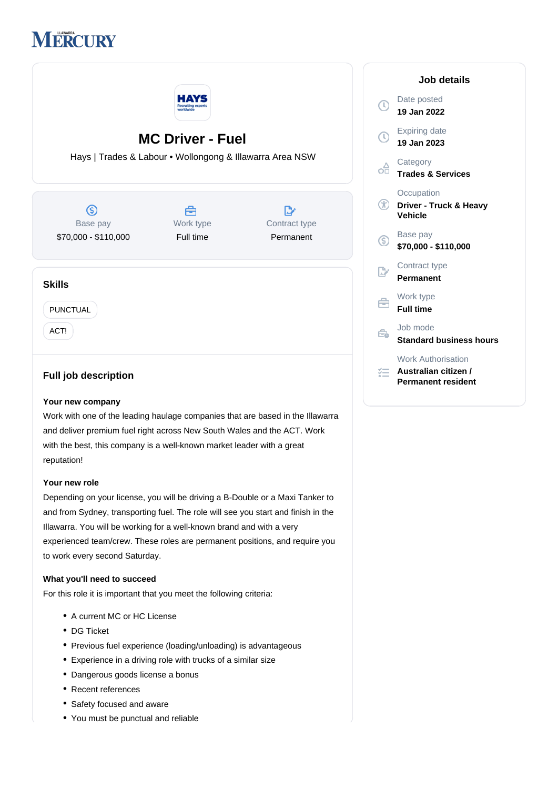



# **MC Driver - Fuel**

Hays | Trades & Labour • Wollongong & Illawarra Area NSW

 $\circledS$ Base pay \$70,000 - \$110,000

曲 Work type Full time

 $\mathbb{R}$ Contract type Permanent

## **Skills**

PUNCTUAL

ACT!

# **Full job description**

#### **Your new company**

Work with one of the leading haulage companies that are based in the Illawarra and deliver premium fuel right across New South Wales and the ACT. Work with the best, this company is a well-known market leader with a great reputation!

#### **Your new role**

Depending on your license, you will be driving a B-Double or a Maxi Tanker to and from Sydney, transporting fuel. The role will see you start and finish in the Illawarra. You will be working for a well-known brand and with a very experienced team/crew. These roles are permanent positions, and require you to work every second Saturday.

## **What you'll need to succeed**

For this role it is important that you meet the following criteria:

- A current MC or HC License
- DG Ticket
- Previous fuel experience (loading/unloading) is advantageous
- Experience in a driving role with trucks of a similar size
- Dangerous goods license a bonus
- Recent references
- Safety focused and aware
- You must be punctual and reliable

|              | Job details                                                             |
|--------------|-------------------------------------------------------------------------|
| $\mathbb{C}$ | Date posted<br>19 Jan 2022                                              |
| <b>①</b>     | <b>Expiring date</b><br>19 Jan 2023                                     |
| оA           | Category<br><b>Trades &amp; Services</b>                                |
| GD)          | Occupation<br>Driver - Truck & Heavy<br>Vehicle                         |
| G,           | Base pay<br>\$70,000 - \$110,000                                        |
|              | Contract type<br>Permanent                                              |
|              | Work type<br><b>Full time</b>                                           |
|              | Job mode<br><b>Standard business hours</b>                              |
|              | <b>Work Authorisation</b><br>Australian citizen /<br>Permanent resident |